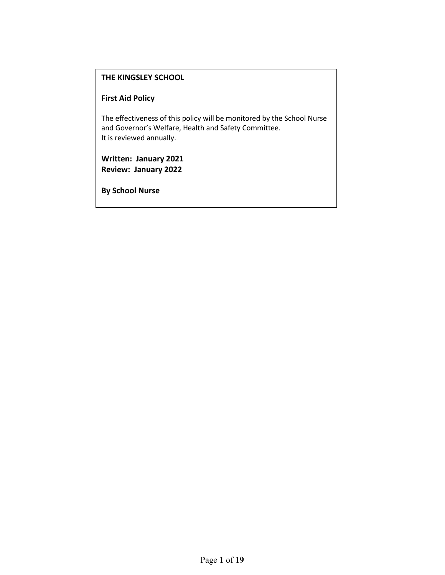### **THE KINGSLEY SCHOOL**

### **First Aid Policy**

The effectiveness of this policy will be monitored by the School Nurse and Governor's Welfare, Health and Safety Committee. It is reviewed annually.

**Written: January 2021 Review: January 2022**

**By School Nurse**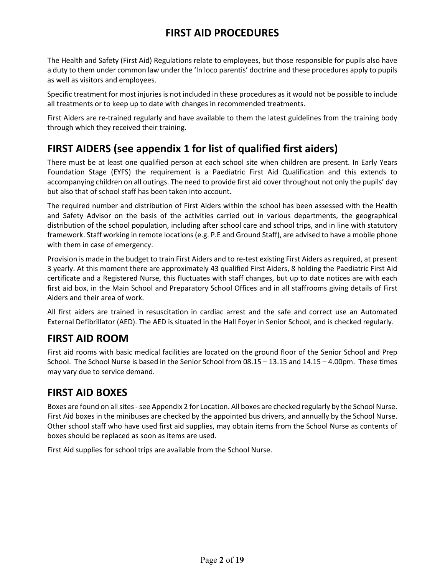# **FIRST AID PROCEDURES**

The Health and Safety (First Aid) Regulations relate to employees, but those responsible for pupils also have a duty to them under common law under the 'In loco parentis' doctrine and these procedures apply to pupils as well as visitors and employees.

Specific treatment for most injuries is not included in these procedures as it would not be possible to include all treatments or to keep up to date with changes in recommended treatments.

First Aiders are re-trained regularly and have available to them the latest guidelines from the training body through which they received their training.

# **FIRST AIDERS (see appendix 1 for list of qualified first aiders)**

There must be at least one qualified person at each school site when children are present. In Early Years Foundation Stage (EYFS) the requirement is a Paediatric First Aid Qualification and this extends to accompanying children on all outings. The need to provide first aid cover throughout not only the pupils' day but also that of school staff has been taken into account.

The required number and distribution of First Aiders within the school has been assessed with the Health and Safety Advisor on the basis of the activities carried out in various departments, the geographical distribution of the school population, including after school care and school trips, and in line with statutory framework. Staff working in remote locations(e.g. P.E and Ground Staff), are advised to have a mobile phone with them in case of emergency.

Provision is made in the budget to train First Aiders and to re-test existing First Aiders as required, at present 3 yearly. At this moment there are approximately 43 qualified First Aiders, 8 holding the Paediatric First Aid certificate and a Registered Nurse, this fluctuates with staff changes, but up to date notices are with each first aid box, in the Main School and Preparatory School Offices and in all staffrooms giving details of First Aiders and their area of work.

All first aiders are trained in resuscitation in cardiac arrest and the safe and correct use an Automated External Defibrillator (AED). The AED is situated in the Hall Foyer in Senior School, and is checked regularly.

# **FIRST AID ROOM**

First aid rooms with basic medical facilities are located on the ground floor of the Senior School and Prep School. The School Nurse is based in the Senior School from 08.15 – 13.15 and 14.15 – 4.00pm. These times may vary due to service demand.

### **FIRST AID BOXES**

Boxes are found on all sites - see Appendix 2 for Location. All boxes are checked regularly by the School Nurse. First Aid boxes in the minibuses are checked by the appointed bus drivers, and annually by the School Nurse. Other school staff who have used first aid supplies, may obtain items from the School Nurse as contents of boxes should be replaced as soon as items are used.

First Aid supplies for school trips are available from the School Nurse.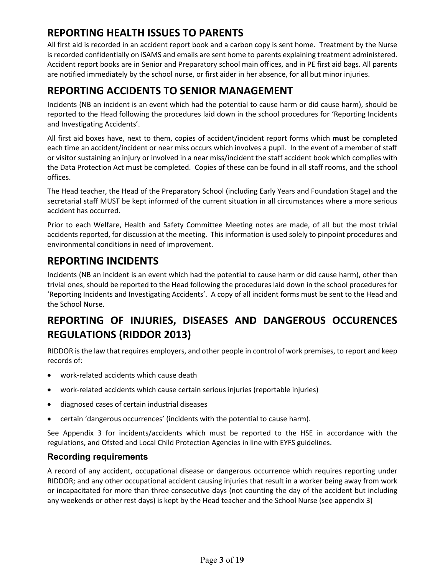# **REPORTING HEALTH ISSUES TO PARENTS**

All first aid is recorded in an accident report book and a carbon copy is sent home. Treatment by the Nurse is recorded confidentially on iSAMS and emails are sent home to parents explaining treatment administered. Accident report books are in Senior and Preparatory school main offices, and in PE first aid bags. All parents are notified immediately by the school nurse, or first aider in her absence, for all but minor injuries.

# **REPORTING ACCIDENTS TO SENIOR MANAGEMENT**

Incidents (NB an incident is an event which had the potential to cause harm or did cause harm), should be reported to the Head following the procedures laid down in the school procedures for 'Reporting Incidents and Investigating Accidents'.

All first aid boxes have, next to them, copies of accident/incident report forms which **must** be completed each time an accident/incident or near miss occurs which involves a pupil. In the event of a member of staff or visitor sustaining an injury or involved in a near miss/incident the staff accident book which complies with the Data Protection Act must be completed. Copies of these can be found in all staff rooms, and the school offices.

The Head teacher, the Head of the Preparatory School (including Early Years and Foundation Stage) and the secretarial staff MUST be kept informed of the current situation in all circumstances where a more serious accident has occurred.

Prior to each Welfare, Health and Safety Committee Meeting notes are made, of all but the most trivial accidents reported, for discussion at the meeting. This information is used solely to pinpoint procedures and environmental conditions in need of improvement.

# **REPORTING INCIDENTS**

Incidents (NB an incident is an event which had the potential to cause harm or did cause harm), other than trivial ones, should be reported to the Head following the procedures laid down in the school procedures for 'Reporting Incidents and Investigating Accidents'. A copy of all incident forms must be sent to the Head and the School Nurse.

# **REPORTING OF INJURIES, DISEASES AND DANGEROUS OCCURENCES REGULATIONS (RIDDOR 2013)**

RIDDOR is the law that requires employers, and other people in control of work premises, to report and keep records of:

- work-related accidents which cause death
- work-related accidents which cause certain serious injuries (reportable injuries)
- diagnosed cases of certain industrial diseases
- certain 'dangerous occurrences' (incidents with the potential to cause harm).

See Appendix 3 for incidents/accidents which must be reported to the HSE in accordance with the regulations, and Ofsted and Local Child Protection Agencies in line with EYFS guidelines.

### **Recording requirements**

A record of any accident, occupational disease or dangerous occurrence which requires reporting under RIDDOR; and any other occupational accident causing injuries that result in a worker being away from work or incapacitated for more than three consecutive days (not counting the day of the accident but including any weekends or other rest days) is kept by the Head teacher and the School Nurse (see appendix 3)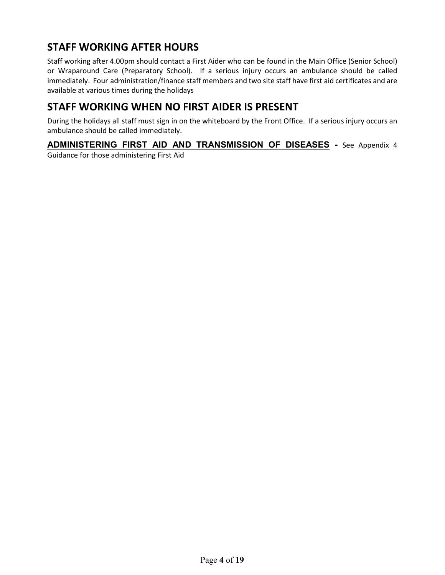# **STAFF WORKING AFTER HOURS**

Staff working after 4.00pm should contact a First Aider who can be found in the Main Office (Senior School) or Wraparound Care (Preparatory School). If a serious injury occurs an ambulance should be called immediately. Four administration/finance staff members and two site staff have first aid certificates and are available at various times during the holidays

### **STAFF WORKING WHEN NO FIRST AIDER IS PRESENT**

During the holidays all staff must sign in on the whiteboard by the Front Office. If a serious injury occurs an ambulance should be called immediately.

**ADMINISTERING FIRST AID AND TRANSMISSION OF DISEASES -** See Appendix 4 Guidance for those administering First Aid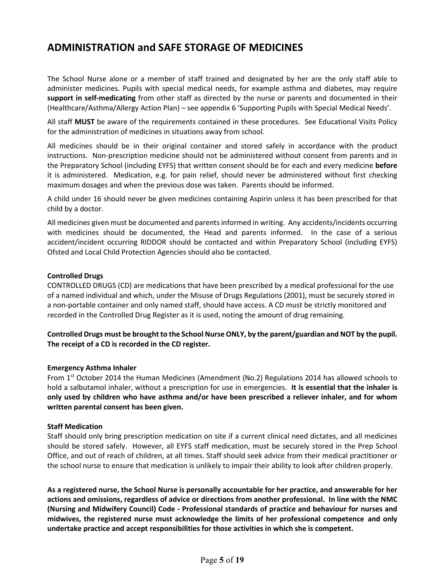### **ADMINISTRATION and SAFE STORAGE OF MEDICINES**

The School Nurse alone or a member of staff trained and designated by her are the only staff able to administer medicines. Pupils with special medical needs, for example asthma and diabetes, may require **support in self-medicating** from other staff as directed by the nurse or parents and documented in their (Healthcare/Asthma/Allergy Action Plan) – see appendix 6 'Supporting Pupils with Special Medical Needs'.

All staff **MUST** be aware of the requirements contained in these procedures. See Educational Visits Policy for the administration of medicines in situations away from school.

All medicines should be in their original container and stored safely in accordance with the product instructions. Non-prescription medicine should not be administered without consent from parents and in the Preparatory School (including EYFS) that written consent should be for each and every medicine **before**  it is administered. Medication, e.g. for pain relief, should never be administered without first checking maximum dosages and when the previous dose was taken. Parents should be informed.

A child under 16 should never be given medicines containing Aspirin unless it has been prescribed for that child by a doctor.

All medicines given must be documented and parents informed in writing. Any accidents/incidents occurring with medicines should be documented, the Head and parents informed. In the case of a serious accident/incident occurring RIDDOR should be contacted and within Preparatory School (including EYFS) Ofsted and Local Child Protection Agencies should also be contacted.

#### **Controlled Drugs**

CONTROLLED DRUGS (CD) are medications that have been prescribed by a medical professional for the use of a named individual and which, under the Misuse of Drugs Regulations (2001), must be securely stored in a non-portable container and only named staff, should have access. A CD must be strictly monitored and recorded in the Controlled Drug Register as it is used, noting the amount of drug remaining.

**Controlled Drugs must be brought to the School Nurse ONLY, by the parent/guardian and NOT by the pupil. The receipt of a CD is recorded in the CD register.**

#### **Emergency Asthma Inhaler**

From 1<sup>st</sup> October 2014 the Human Medicines (Amendment (No.2) Regulations 2014 has allowed schools to hold a salbutamol inhaler, without a prescription for use in emergencies. **It is essential that the inhaler is only used by children who have asthma and/or have been prescribed a reliever inhaler, and for whom written parental consent has been given.**

#### **Staff Medication**

Staff should only bring prescription medication on site if a current clinical need dictates, and all medicines should be stored safely. However, all EYFS staff medication, must be securely stored in the Prep School Office, and out of reach of children, at all times. Staff should seek advice from their medical practitioner or the school nurse to ensure that medication is unlikely to impair their ability to look after children properly.

**As a registered nurse, the School Nurse is personally accountable for her practice, and answerable for her actions and omissions, regardless of advice or directions from another professional. In line with the NMC (Nursing and Midwifery Council) Code - Professional standards of practice and behaviour for nurses and midwives, the registered nurse must acknowledge the limits of her professional competence and only undertake practice and accept responsibilities for those activities in which she is competent.**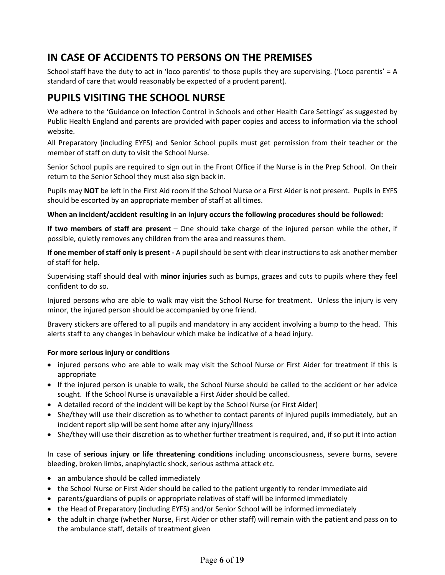# **IN CASE OF ACCIDENTS TO PERSONS ON THE PREMISES**

School staff have the duty to act in 'loco parentis' to those pupils they are supervising. ('Loco parentis' = A standard of care that would reasonably be expected of a prudent parent).

# **PUPILS VISITING THE SCHOOL NURSE**

We adhere to the 'Guidance on Infection Control in Schools and other Health Care Settings' as suggested by Public Health England and parents are provided with paper copies and access to information via the school website.

All Preparatory (including EYFS) and Senior School pupils must get permission from their teacher or the member of staff on duty to visit the School Nurse.

Senior School pupils are required to sign out in the Front Office if the Nurse is in the Prep School. On their return to the Senior School they must also sign back in.

Pupils may **NOT** be left in the First Aid room if the School Nurse or a First Aider is not present. Pupils in EYFS should be escorted by an appropriate member of staff at all times.

**When an incident/accident resulting in an injury occurs the following procedures should be followed:**

**If two members of staff are present** – One should take charge of the injured person while the other, if possible, quietly removes any children from the area and reassures them.

**If one member of staff only is present -** A pupil should be sent with clear instructions to ask another member of staff for help.

Supervising staff should deal with **minor injuries** such as bumps, grazes and cuts to pupils where they feel confident to do so.

Injured persons who are able to walk may visit the School Nurse for treatment. Unless the injury is very minor, the injured person should be accompanied by one friend.

Bravery stickers are offered to all pupils and mandatory in any accident involving a bump to the head. This alerts staff to any changes in behaviour which make be indicative of a head injury.

#### **For more serious injury or conditions**

- injured persons who are able to walk may visit the School Nurse or First Aider for treatment if this is appropriate
- If the injured person is unable to walk, the School Nurse should be called to the accident or her advice sought. If the School Nurse is unavailable a First Aider should be called.
- A detailed record of the incident will be kept by the School Nurse (or First Aider)
- She/they will use their discretion as to whether to contact parents of injured pupils immediately, but an incident report slip will be sent home after any injury/illness
- She/they will use their discretion as to whether further treatment is required, and, if so put it into action

In case of **serious injury or life threatening conditions** including unconsciousness, severe burns, severe bleeding, broken limbs, anaphylactic shock, serious asthma attack etc.

- an ambulance should be called immediately
- the School Nurse or First Aider should be called to the patient urgently to render immediate aid
- parents/guardians of pupils or appropriate relatives of staff will be informed immediately
- the Head of Preparatory (including EYFS) and/or Senior School will be informed immediately
- the adult in charge (whether Nurse, First Aider or other staff) will remain with the patient and pass on to the ambulance staff, details of treatment given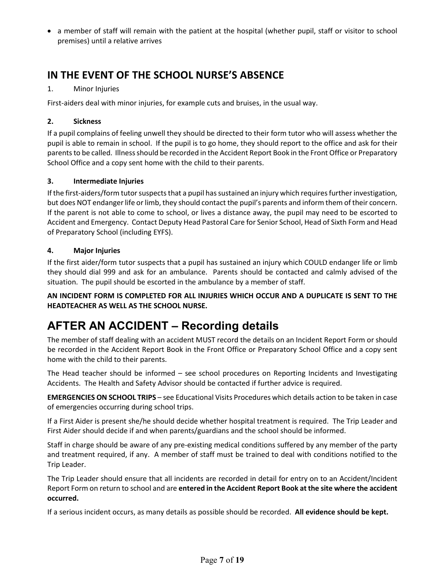• a member of staff will remain with the patient at the hospital (whether pupil, staff or visitor to school premises) until a relative arrives

# **IN THE EVENT OF THE SCHOOL NURSE'S ABSENCE**

### 1. Minor Injuries

First-aiders deal with minor injuries, for example cuts and bruises, in the usual way.

#### **2. Sickness**

If a pupil complains of feeling unwell they should be directed to their form tutor who will assess whether the pupil is able to remain in school. If the pupil is to go home, they should report to the office and ask for their parents to be called. Illness should be recorded in the Accident Report Book in the Front Office or Preparatory School Office and a copy sent home with the child to their parents.

#### **3. Intermediate Injuries**

If the first-aiders/form tutor suspects that a pupil has sustained an injury which requires further investigation, but does NOT endanger life or limb, they should contact the pupil's parents and inform them of their concern. If the parent is not able to come to school, or lives a distance away, the pupil may need to be escorted to Accident and Emergency. Contact Deputy Head Pastoral Care for Senior School, Head of Sixth Form and Head of Preparatory School (including EYFS).

#### **4. Major Injuries**

If the first aider/form tutor suspects that a pupil has sustained an injury which COULD endanger life or limb they should dial 999 and ask for an ambulance. Parents should be contacted and calmly advised of the situation. The pupil should be escorted in the ambulance by a member of staff.

**AN INCIDENT FORM IS COMPLETED FOR ALL INJURIES WHICH OCCUR AND A DUPLICATE IS SENT TO THE HEADTEACHER AS WELL AS THE SCHOOL NURSE.**

# **AFTER AN ACCIDENT – Recording details**

The member of staff dealing with an accident MUST record the details on an Incident Report Form or should be recorded in the Accident Report Book in the Front Office or Preparatory School Office and a copy sent home with the child to their parents.

The Head teacher should be informed – see school procedures on Reporting Incidents and Investigating Accidents. The Health and Safety Advisor should be contacted if further advice is required.

**EMERGENCIES ON SCHOOL TRIPS** – see Educational Visits Procedures which details action to be taken in case of emergencies occurring during school trips.

If a First Aider is present she/he should decide whether hospital treatment is required. The Trip Leader and First Aider should decide if and when parents/guardians and the school should be informed.

Staff in charge should be aware of any pre-existing medical conditions suffered by any member of the party and treatment required, if any. A member of staff must be trained to deal with conditions notified to the Trip Leader.

The Trip Leader should ensure that all incidents are recorded in detail for entry on to an Accident/Incident Report Form on return to school and are **entered in the Accident Report Book at the site where the accident occurred.**

If a serious incident occurs, as many details as possible should be recorded. **All evidence should be kept.**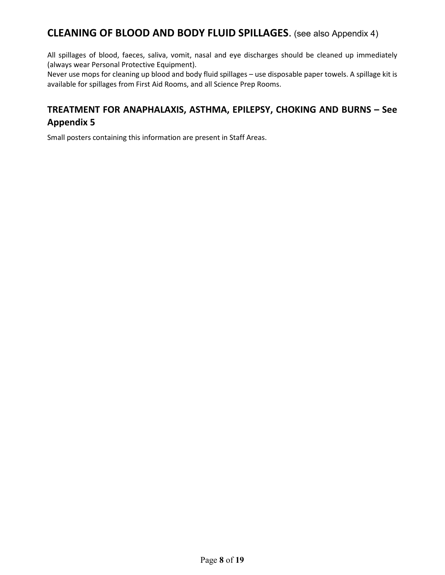### **CLEANING OF BLOOD AND BODY FLUID SPILLAGES**. (see also Appendix 4)

All spillages of blood, faeces, saliva, vomit, nasal and eye discharges should be cleaned up immediately (always wear Personal Protective Equipment).

Never use mops for cleaning up blood and body fluid spillages – use disposable paper towels. A spillage kit is available for spillages from First Aid Rooms, and all Science Prep Rooms.

### **TREATMENT FOR ANAPHALAXIS, ASTHMA, EPILEPSY, CHOKING AND BURNS – See Appendix 5**

Small posters containing this information are present in Staff Areas.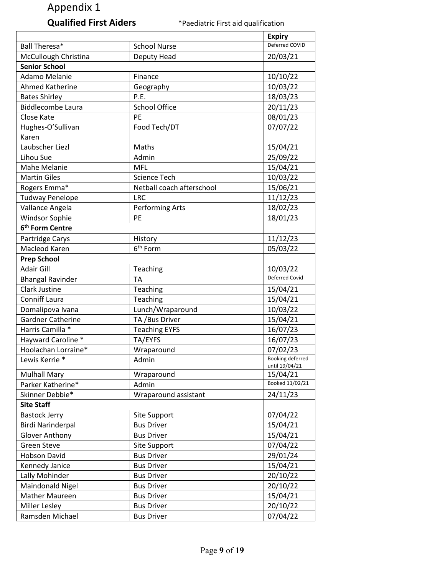# **Qualified First Aiders** \*Paediatric First aid qualification

|                             |                                     | <b>Expiry</b>              |
|-----------------------------|-------------------------------------|----------------------------|
| Ball Theresa*               | <b>School Nurse</b>                 | Deferred COVID<br>20/03/21 |
|                             | McCullough Christina<br>Deputy Head |                            |
| <b>Senior School</b>        |                                     |                            |
| Adamo Melanie               | Finance                             | 10/10/22                   |
| Ahmed Katherine             | Geography                           | 10/03/22                   |
| <b>Bates Shirley</b>        | P.E.                                | 18/03/23                   |
| <b>Biddlecombe Laura</b>    | <b>School Office</b>                | 20/11/23                   |
| Close Kate                  | PE                                  | 08/01/23                   |
| Hughes-O'Sullivan           | Food Tech/DT                        | 07/07/22                   |
| Karen                       |                                     |                            |
| Laubscher Liezl             | Maths                               | 15/04/21                   |
| Lihou Sue                   | Admin                               | 25/09/22                   |
| Mahe Melanie                | <b>MFL</b>                          | 15/04/21                   |
| <b>Martin Giles</b>         | <b>Science Tech</b>                 | 10/03/22                   |
| Rogers Emma*                | Netball coach afterschool           | 15/06/21                   |
| <b>Tudway Penelope</b>      | <b>LRC</b>                          | 11/12/23                   |
| Vallance Angela             | Performing Arts                     | 18/02/23                   |
| <b>Windsor Sophie</b>       | PE                                  | 18/01/23                   |
| 6 <sup>th</sup> Form Centre |                                     |                            |
| Partridge Carys             | History                             | 11/12/23                   |
| Macleod Karen               | 6 <sup>th</sup> Form                | 05/03/22                   |
| <b>Prep School</b>          |                                     |                            |
| <b>Adair Gill</b>           | Teaching                            | 10/03/22                   |
| <b>Bhangal Ravinder</b>     | <b>TA</b>                           | <b>Deferred Covid</b>      |
| <b>Clark Justine</b>        | Teaching                            | 15/04/21                   |
| <b>Conniff Laura</b>        | Teaching                            | 15/04/21                   |
| Domalipova Ivana            | Lunch/Wraparound                    | 10/03/22                   |
| <b>Gardner Catherine</b>    | TA / Bus Driver                     | 15/04/21                   |
| Harris Camilla *            | <b>Teaching EYFS</b>                | 16/07/23                   |
| Hayward Caroline *          | TA/EYFS                             | 16/07/23                   |
| Hoolachan Lorraine*         | Wraparound                          | 07/02/23                   |
| Lewis Kerrie *              | Admin                               | Booking deferred           |
|                             |                                     | until 19/04/21             |
| <b>Mulhall Mary</b>         | Wraparound                          | 15/04/21                   |
| Parker Katherine*           | Admin                               | Booked 11/02/21            |
| Skinner Debbie*             | Wraparound assistant                | 24/11/23                   |
| <b>Site Staff</b>           |                                     |                            |
| <b>Bastock Jerry</b>        | Site Support                        | 07/04/22                   |
| <b>Birdi Narinderpal</b>    | <b>Bus Driver</b>                   | 15/04/21                   |
| <b>Glover Anthony</b>       | <b>Bus Driver</b>                   | 15/04/21                   |
| <b>Green Steve</b>          | Site Support                        | 07/04/22                   |
| Hobson David                | <b>Bus Driver</b>                   | 29/01/24                   |
| Kennedy Janice              | <b>Bus Driver</b>                   | 15/04/21                   |
| Lally Mohinder              | <b>Bus Driver</b>                   | 20/10/22                   |
| Maindonald Nigel            | <b>Bus Driver</b>                   | 20/10/22                   |
| Mather Maureen              | <b>Bus Driver</b>                   | 15/04/21                   |
| Miller Lesley               | <b>Bus Driver</b>                   | 20/10/22                   |
| Ramsden Michael             | <b>Bus Driver</b>                   | 07/04/22                   |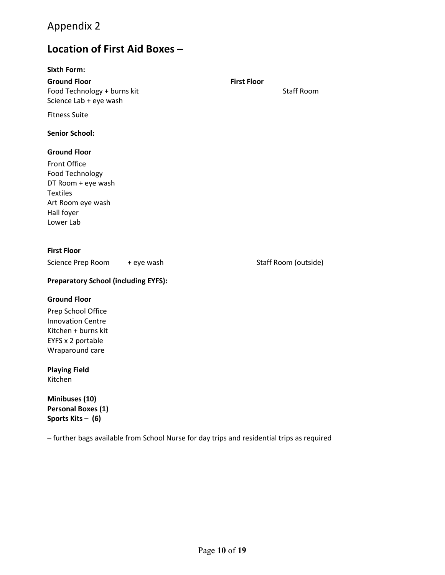# **Location of First Aid Boxes –**

#### **Sixth Form:**

| <b>Ground Floor</b><br>Food Technology + burns kit<br>Science Lab + eye wash | <b>First Floor</b> | <b>Staff Room</b>    |
|------------------------------------------------------------------------------|--------------------|----------------------|
| <b>Fitness Suite</b>                                                         |                    |                      |
| <b>Senior School:</b>                                                        |                    |                      |
| <b>Ground Floor</b><br><b>Front Office</b>                                   |                    |                      |
| Food Technology                                                              |                    |                      |
| DT Room + eye wash                                                           |                    |                      |
| <b>Textiles</b>                                                              |                    |                      |
| Art Room eye wash                                                            |                    |                      |
| Hall foyer                                                                   |                    |                      |
| Lower Lab                                                                    |                    |                      |
| <b>First Floor</b>                                                           |                    |                      |
| Science Prep Room + eye wash                                                 |                    | Staff Room (outside) |
| <b>Preparatory School (including EYFS):</b>                                  |                    |                      |

#### **Ground Floor**

Prep School Office Innovation Centre Kitchen + burns kit EYFS x 2 portable Wraparound care

### **Playing Field**

Kitchen

**Minibuses (10) Personal Boxes (1) Sports Kits** – **(6)**

– further bags available from School Nurse for day trips and residential trips as required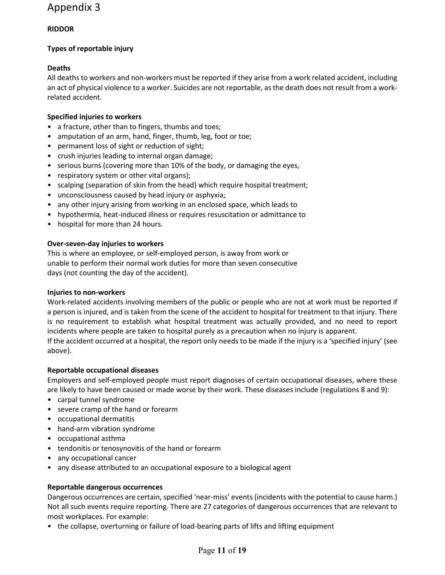### **RIDDOR**

### **Types of reportable injury**

### **Deaths**

All deaths to workers and non-workers must be reported if they arise from a work related accident, including an act of physical violence to a worker. Suicides are not reportable, as the death does not result from a workrelated accident.

#### **Specified injuries to workers**

- a fracture, other than to fingers, thumbs and toes;
- amputation of an arm, hand, finger, thumb, leg, foot or toe;
- permanent loss of sight or reduction of sight;
- crush injuries leading to internal organ damage;
- serious burns (covering more than 10% of the body, or damaging the eyes,
- respiratory system or other vital organs);
- scalping (separation of skin from the head) which require hospital treatment;
- unconsciousness caused by head injury or asphyxia;
- any other injury arising from working in an enclosed space, which leads to
- hypothermia, heat-induced illness or requires resuscitation or admittance to
- hospital for more than 24 hours.

#### **Over-seven-day injuries to workers**

This is where an employee, or self-employed person, is away from work or unable to perform their normal work duties for more than seven consecutive days (not counting the day of the accident).

#### **Injuries to non-workers**

Work-related accidents involving members of the public or people who are not at work must be reported if a person is injured, and is taken from the scene of the accident to hospital for treatment to that injury. There is no requirement to establish what hospital treatment was actually provided, and no need to report incidents where people are taken to hospital purely as a precaution when no injury is apparent. If the accident occurred at a hospital, the report only needs to be made if the injury is a 'specified injury' (see above).

#### **Reportable occupational diseases**

Employers and self-employed people must report diagnoses of certain occupational diseases, where these are likely to have been caused or made worse by their work. These diseases include (regulations 8 and 9):

- carpal tunnel syndrome
- severe cramp of the hand or forearm
- occupational dermatitis
- hand-arm vibration syndrome
- occupational asthma
- tendonitis or tenosynovitis of the hand or forearm
- any occupational cancer
- any disease attributed to an occupational exposure to a biological agent

#### **Reportable dangerous occurrences**

Dangerous occurrences are certain, specified 'near-miss' events (incidents with the potential to cause harm.) Not all such events require reporting. There are 27 categories of dangerous occurrences that are relevant to most workplaces. For example:

• the collapse, overturning or failure of load-bearing parts of lifts and lifting equipment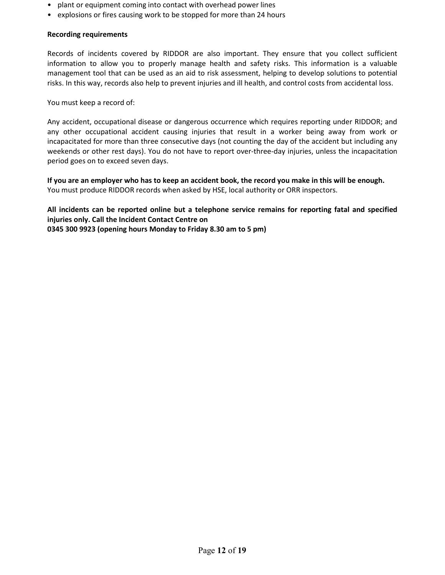- plant or equipment coming into contact with overhead power lines
- explosions or fires causing work to be stopped for more than 24 hours

#### **Recording requirements**

Records of incidents covered by RIDDOR are also important. They ensure that you collect sufficient information to allow you to properly manage health and safety risks. This information is a valuable management tool that can be used as an aid to risk assessment, helping to develop solutions to potential risks. In this way, records also help to prevent injuries and ill health, and control costs from accidental loss.

You must keep a record of:

Any accident, occupational disease or dangerous occurrence which requires reporting under RIDDOR; and any other occupational accident causing injuries that result in a worker being away from work or incapacitated for more than three consecutive days (not counting the day of the accident but including any weekends or other rest days). You do not have to report over-three-day injuries, unless the incapacitation period goes on to exceed seven days.

**If you are an employer who has to keep an accident book, the record you make in this will be enough.** You must produce RIDDOR records when asked by HSE, local authority or ORR inspectors.

**All incidents can be reported online but a telephone service remains for reporting fatal and specified injuries only. Call the Incident Contact Centre on 0345 300 9923 (opening hours Monday to Friday 8.30 am to 5 pm)**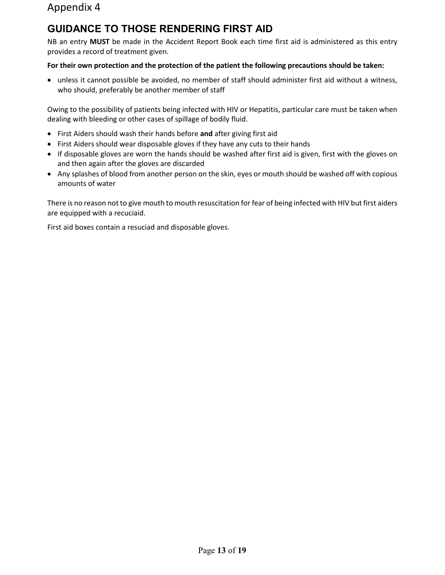# **GUIDANCE TO THOSE RENDERING FIRST AID**

NB an entry **MUST** be made in the Accident Report Book each time first aid is administered as this entry provides a record of treatment given.

#### **For their own protection and the protection of the patient the following precautions should be taken:**

• unless it cannot possible be avoided, no member of staff should administer first aid without a witness, who should, preferably be another member of staff

Owing to the possibility of patients being infected with HIV or Hepatitis, particular care must be taken when dealing with bleeding or other cases of spillage of bodily fluid.

- First Aiders should wash their hands before **and** after giving first aid
- First Aiders should wear disposable gloves if they have any cuts to their hands
- If disposable gloves are worn the hands should be washed after first aid is given, first with the gloves on and then again after the gloves are discarded
- Any splashes of blood from another person on the skin, eyes or mouth should be washed off with copious amounts of water

There is no reason not to give mouth to mouth resuscitation for fear of being infected with HIV but first aiders are equipped with a recuciaid.

First aid boxes contain a resuciad and disposable gloves.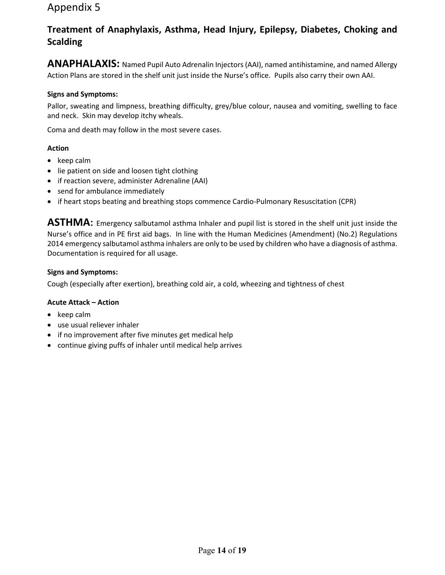### **Treatment of Anaphylaxis, Asthma, Head Injury, Epilepsy, Diabetes, Choking and Scalding**

**ANAPHALAXIS:** Named Pupil Auto Adrenalin Injectors (AAI), named antihistamine, and named Allergy Action Plans are stored in the shelf unit just inside the Nurse's office. Pupils also carry their own AAI.

#### **Signs and Symptoms:**

Pallor, sweating and limpness, breathing difficulty, grey/blue colour, nausea and vomiting, swelling to face and neck. Skin may develop itchy wheals.

Coma and death may follow in the most severe cases.

#### **Action**

- keep calm
- lie patient on side and loosen tight clothing
- if reaction severe, administer Adrenaline (AAI)
- send for ambulance immediately
- if heart stops beating and breathing stops commence Cardio-Pulmonary Resuscitation (CPR)

**ASTHMA:** Emergency salbutamol asthma Inhaler and pupil list is stored in the shelf unit just inside the Nurse's office and in PE first aid bags. In line with the Human Medicines (Amendment) (No.2) Regulations 2014 emergency salbutamol asthma inhalers are only to be used by children who have a diagnosis of asthma. Documentation is required for all usage.

#### **Signs and Symptoms:**

Cough (especially after exertion), breathing cold air, a cold, wheezing and tightness of chest

#### **Acute Attack – Action**

- keep calm
- use usual reliever inhaler
- if no improvement after five minutes get medical help
- continue giving puffs of inhaler until medical help arrives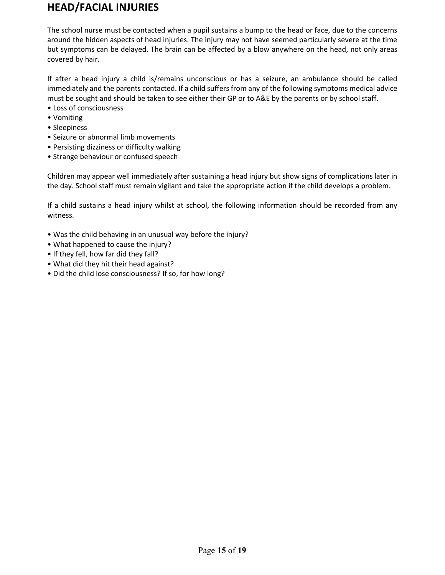### **HEAD/FACIAL INJURIES**

The school nurse must be contacted when a pupil sustains a bump to the head or face, due to the concerns around the hidden aspects of head injuries. The injury may not have seemed particularly severe at the time but symptoms can be delayed. The brain can be affected by a blow anywhere on the head, not only areas covered by hair.

If after a head injury a child is/remains unconscious or has a seizure, an ambulance should be called immediately and the parents contacted. If a child suffers from any of the following symptoms medical advice must be sought and should be taken to see either their GP or to A&E by the parents or by school staff.

- Loss of consciousness
- Vomiting
- Sleepiness
- Seizure or abnormal limb movements
- Persisting dizziness or difficulty walking
- Strange behaviour or confused speech

Children may appear well immediately after sustaining a head injury but show signs of complications later in the day. School staff must remain vigilant and take the appropriate action if the child develops a problem.

If a child sustains a head injury whilst at school, the following information should be recorded from any witness.

- Was the child behaving in an unusual way before the injury?
- What happened to cause the injury?
- If they fell, how far did they fall?
- What did they hit their head against?
- Did the child lose consciousness? If so, for how long?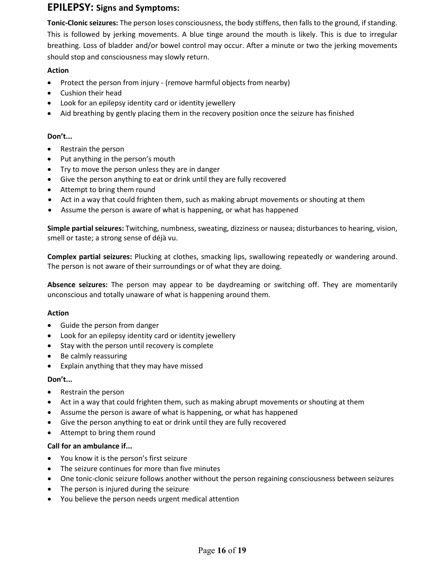### **EPILEPSY: Signs and Symptoms:**

**Tonic-Clonic seizures:** The person loses consciousness, the body stiffens, then falls to the ground, if standing. This is followed by jerking movements. A blue tinge around the mouth is likely. This is due to irregular breathing. Loss of bladder and/or bowel control may occur. After a minute or two the jerking movements should stop and consciousness may slowly return.

#### **Action**

- Protect the person from injury (remove harmful objects from nearby)
- Cushion their head
- Look for an epilepsy identity card or identity jewellery
- Aid breathing by gently placing them in the recovery position once the seizure has finished

#### **Don't...**

- Restrain the person
- Put anything in the person's mouth
- Try to move the person unless they are in danger
- Give the person anything to eat or drink until they are fully recovered
- Attempt to bring them round
- Act in a way that could frighten them, such as making abrupt movements or shouting at them
- Assume the person is aware of what is happening, or what has happened

**Simple partial seizures:** Twitching, numbness, sweating, dizziness or nausea; disturbances to hearing, vision, smell or taste; a strong sense of déjà vu.

**Complex partial seizures:** Plucking at clothes, smacking lips, swallowing repeatedly or wandering around. The person is not aware of their surroundings or of what they are doing.

**Absence seizures:** The person may appear to be daydreaming or switching off. They are momentarily unconscious and totally unaware of what is happening around them.

#### **Action**

- Guide the person from danger
- Look for an epilepsy identity card or identity jewellery
- Stay with the person until recovery is complete
- Be calmly reassuring
- Explain anything that they may have missed

#### **Don't...**

- Restrain the person
- Act in a way that could frighten them, such as making abrupt movements or shouting at them
- Assume the person is aware of what is happening, or what has happened
- Give the person anything to eat or drink until they are fully recovered
- Attempt to bring them round

#### **Call for an ambulance if...**

- You know it is the person's first seizure
- The seizure continues for more than five minutes
- One tonic-clonic seizure follows another without the person regaining consciousness between seizures
- The person is injured during the seizure
- You believe the person needs urgent medical attention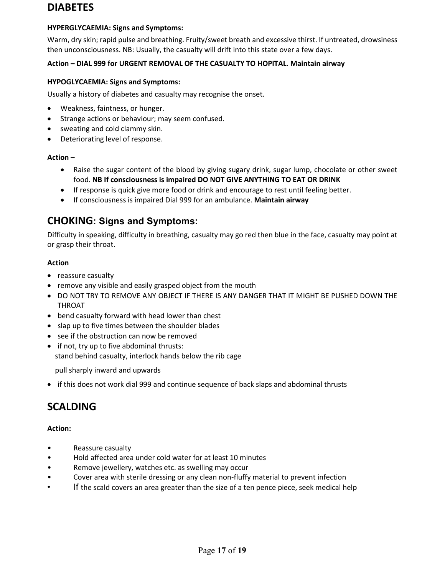### **DIABETES**

### **HYPERGLYCAEMIA: Signs and Symptoms:**

Warm, dry skin; rapid pulse and breathing. Fruity/sweet breath and excessive thirst. If untreated, drowsiness then unconsciousness. NB: Usually, the casualty will drift into this state over a few days.

### **Action – DIAL 999 for URGENT REMOVAL OF THE CASUALTY TO HOPITAL. Maintain airway**

### **HYPOGLYCAEMIA: Signs and Symptoms:**

Usually a history of diabetes and casualty may recognise the onset.

- Weakness, faintness, or hunger.
- Strange actions or behaviour; may seem confused.
- sweating and cold clammy skin.
- Deteriorating level of response.

### **Action –**

- Raise the sugar content of the blood by giving sugary drink, sugar lump, chocolate or other sweet food. **NB If consciousness is impaired DO NOT GIVE ANYTHING TO EAT OR DRINK**
- If response is quick give more food or drink and encourage to rest until feeling better.
- If consciousness is impaired Dial 999 for an ambulance. **Maintain airway**

### **CHOKING: Signs and Symptoms:**

Difficulty in speaking, difficulty in breathing, casualty may go red then blue in the face, casualty may point at or grasp their throat.

#### **Action**

- reassure casualty
- remove any visible and easily grasped object from the mouth
- DO NOT TRY TO REMOVE ANY OBJECT IF THERE IS ANY DANGER THAT IT MIGHT BE PUSHED DOWN THE THROAT
- bend casualty forward with head lower than chest
- slap up to five times between the shoulder blades
- see if the obstruction can now be removed
- if not, try up to five abdominal thrusts: stand behind casualty, interlock hands below the rib cage

pull sharply inward and upwards

• if this does not work dial 999 and continue sequence of back slaps and abdominal thrusts

# **SCALDING**

#### **Action:**

- Reassure casualty
- Hold affected area under cold water for at least 10 minutes
- Remove jewellery, watches etc. as swelling may occur
- Cover area with sterile dressing or any clean non-fluffy material to prevent infection
- If the scald covers an area greater than the size of a ten pence piece, seek medical help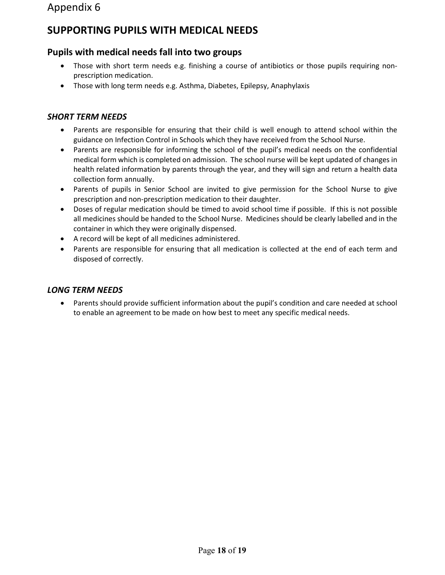### **SUPPORTING PUPILS WITH MEDICAL NEEDS**

### **Pupils with medical needs fall into two groups**

- Those with short term needs e.g. finishing a course of antibiotics or those pupils requiring nonprescription medication.
- Those with long term needs e.g. Asthma, Diabetes, Epilepsy, Anaphylaxis

### *SHORT TERM NEEDS*

- Parents are responsible for ensuring that their child is well enough to attend school within the guidance on Infection Control in Schools which they have received from the School Nurse.
- Parents are responsible for informing the school of the pupil's medical needs on the confidential medical form which is completed on admission. The school nurse will be kept updated of changes in health related information by parents through the year, and they will sign and return a health data collection form annually.
- Parents of pupils in Senior School are invited to give permission for the School Nurse to give prescription and non-prescription medication to their daughter.
- Doses of regular medication should be timed to avoid school time if possible. If this is not possible all medicines should be handed to the School Nurse. Medicines should be clearly labelled and in the container in which they were originally dispensed.
- A record will be kept of all medicines administered.
- Parents are responsible for ensuring that all medication is collected at the end of each term and disposed of correctly.

#### *LONG TERM NEEDS*

• Parents should provide sufficient information about the pupil's condition and care needed at school to enable an agreement to be made on how best to meet any specific medical needs.